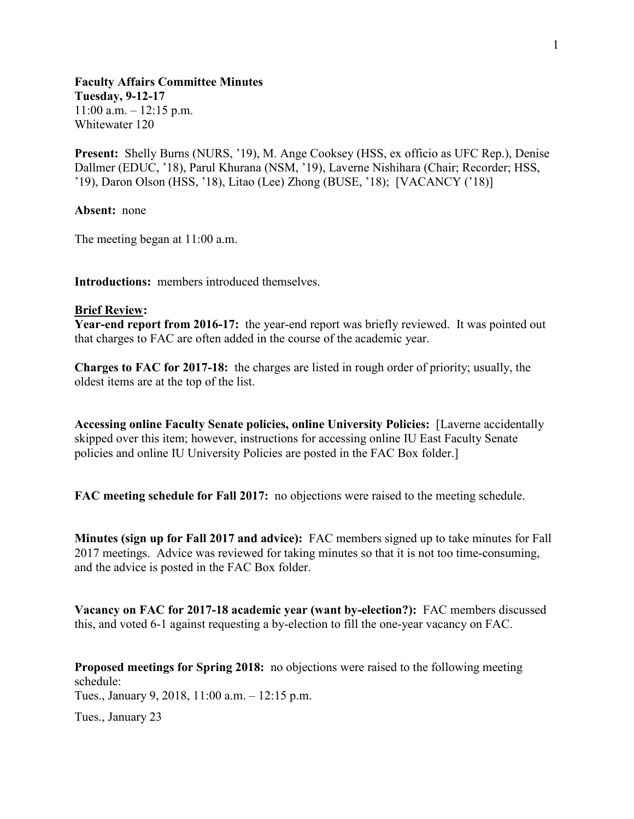**Faculty Affairs Committee Minutes Tuesday, 9-12-17**  $11:00$  a.m.  $-12:15$  p.m. Whitewater 120

**Present:** Shelly Burns (NURS, '19), M. Ange Cooksey (HSS, ex officio as UFC Rep.), Denise Dallmer (EDUC, '18), Parul Khurana (NSM, '19), Laverne Nishihara (Chair; Recorder; HSS, '19), Daron Olson (HSS, '18), Litao (Lee) Zhong (BUSE, '18); [VACANCY ('18)]

**Absent:** none

The meeting began at 11:00 a.m.

**Introductions:** members introduced themselves.

## **Brief Review:**

**Year-end report from 2016-17:** the year-end report was briefly reviewed. It was pointed out that charges to FAC are often added in the course of the academic year.

**Charges to FAC for 2017-18:** the charges are listed in rough order of priority; usually, the oldest items are at the top of the list.

**Accessing online Faculty Senate policies, online University Policies:** [Laverne accidentally skipped over this item; however, instructions for accessing online IU East Faculty Senate policies and online IU University Policies are posted in the FAC Box folder.]

**FAC meeting schedule for Fall 2017:** no objections were raised to the meeting schedule.

**Minutes (sign up for Fall 2017 and advice):** FAC members signed up to take minutes for Fall 2017 meetings. Advice was reviewed for taking minutes so that it is not too time-consuming, and the advice is posted in the FAC Box folder.

**Vacancy on FAC for 2017-18 academic year (want by-election?):** FAC members discussed this, and voted 6-1 against requesting a by-election to fill the one-year vacancy on FAC.

**Proposed meetings for Spring 2018:** no objections were raised to the following meeting schedule:

Tues., January 9, 2018, 11:00 a.m. – 12:15 p.m.

Tues., January 23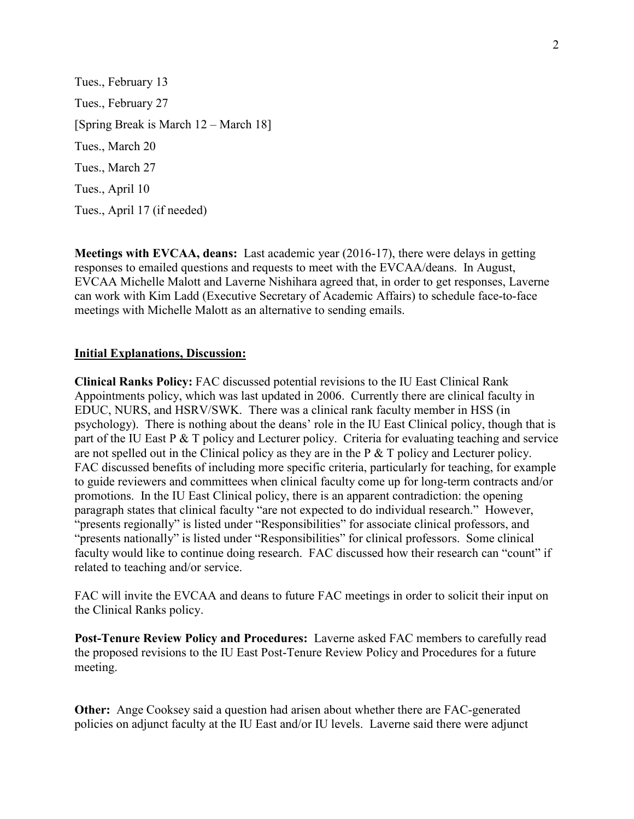Tues., February 13 Tues., February 27 [Spring Break is March 12 – March 18] Tues., March 20 Tues., March 27 Tues., April 10 Tues., April 17 (if needed)

**Meetings with EVCAA, deans:** Last academic year (2016-17), there were delays in getting responses to emailed questions and requests to meet with the EVCAA/deans. In August, EVCAA Michelle Malott and Laverne Nishihara agreed that, in order to get responses, Laverne can work with Kim Ladd (Executive Secretary of Academic Affairs) to schedule face-to-face meetings with Michelle Malott as an alternative to sending emails.

## **Initial Explanations, Discussion:**

**Clinical Ranks Policy:** FAC discussed potential revisions to the IU East Clinical Rank Appointments policy, which was last updated in 2006. Currently there are clinical faculty in EDUC, NURS, and HSRV/SWK. There was a clinical rank faculty member in HSS (in psychology). There is nothing about the deans' role in the IU East Clinical policy, though that is part of the IU East P & T policy and Lecturer policy. Criteria for evaluating teaching and service are not spelled out in the Clinical policy as they are in the P & T policy and Lecturer policy. FAC discussed benefits of including more specific criteria, particularly for teaching, for example to guide reviewers and committees when clinical faculty come up for long-term contracts and/or promotions. In the IU East Clinical policy, there is an apparent contradiction: the opening paragraph states that clinical faculty "are not expected to do individual research." However, "presents regionally" is listed under "Responsibilities" for associate clinical professors, and "presents nationally" is listed under "Responsibilities" for clinical professors. Some clinical faculty would like to continue doing research. FAC discussed how their research can "count" if related to teaching and/or service.

FAC will invite the EVCAA and deans to future FAC meetings in order to solicit their input on the Clinical Ranks policy.

**Post-Tenure Review Policy and Procedures:** Laverne asked FAC members to carefully read the proposed revisions to the IU East Post-Tenure Review Policy and Procedures for a future meeting.

**Other:** Ange Cooksey said a question had arisen about whether there are FAC-generated policies on adjunct faculty at the IU East and/or IU levels. Laverne said there were adjunct